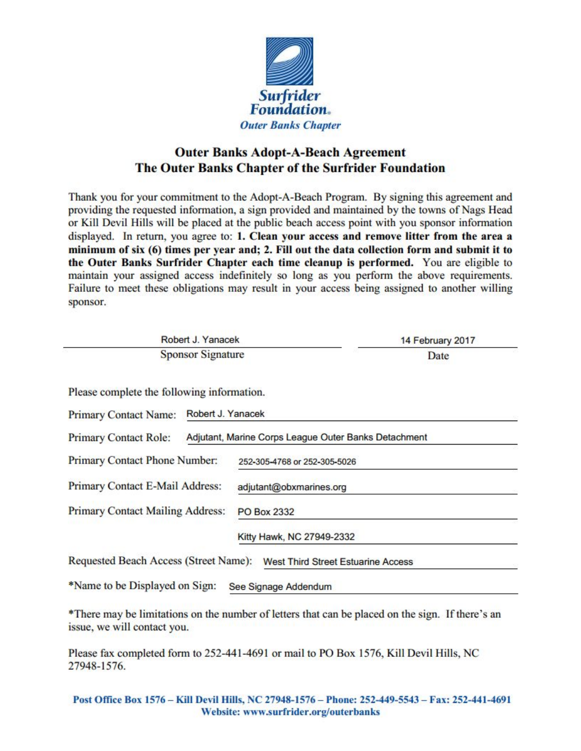

## Outer Banks Adopt-A-Beach Agreement The Outer Banks Chapter of the Surfrider Foundation

| sponsor.                                                                                                                                                         |                                                                                      | Thank you for your commitment to the Adopt-A-Beach Program. By signing this agreement and<br>providing the requested information, a sign provided and maintained by the towns of Nags Head<br>or Kill Devil Hills will be placed at the public beach access point with you sponsor information<br>displayed. In return, you agree to: 1. Clean your access and remove litter from the area a<br>minimum of six (6) times per year and; 2. Fill out the data collection form and submit it to<br>the Outer Banks Surfrider Chapter each time cleanup is performed. You are eligible to<br>maintain your assigned access indefinitely so long as you perform the above requirements.<br>Failure to meet these obligations may result in your access being assigned to another willing |
|------------------------------------------------------------------------------------------------------------------------------------------------------------------|--------------------------------------------------------------------------------------|-------------------------------------------------------------------------------------------------------------------------------------------------------------------------------------------------------------------------------------------------------------------------------------------------------------------------------------------------------------------------------------------------------------------------------------------------------------------------------------------------------------------------------------------------------------------------------------------------------------------------------------------------------------------------------------------------------------------------------------------------------------------------------------|
| Robert J. Yanacek                                                                                                                                                |                                                                                      | 14 February 2017                                                                                                                                                                                                                                                                                                                                                                                                                                                                                                                                                                                                                                                                                                                                                                    |
| <b>Sponsor Signature</b>                                                                                                                                         |                                                                                      | Date                                                                                                                                                                                                                                                                                                                                                                                                                                                                                                                                                                                                                                                                                                                                                                                |
| Please complete the following information.<br>Robert J. Yanacek<br><b>Primary Contact Name:</b><br><b>Primary Contact Role:</b><br>Primary Contact Phone Number: | Adjutant, Marine Corps League Outer Banks Detachment<br>252-305-4768 or 252-305-5026 |                                                                                                                                                                                                                                                                                                                                                                                                                                                                                                                                                                                                                                                                                                                                                                                     |
| Primary Contact E-Mail Address:                                                                                                                                  | adjutant@obxmarines.org                                                              |                                                                                                                                                                                                                                                                                                                                                                                                                                                                                                                                                                                                                                                                                                                                                                                     |
| <b>Primary Contact Mailing Address:</b>                                                                                                                          | <b>PO Box 2332</b>                                                                   |                                                                                                                                                                                                                                                                                                                                                                                                                                                                                                                                                                                                                                                                                                                                                                                     |
|                                                                                                                                                                  | Kitty Hawk, NC 27949-2332                                                            |                                                                                                                                                                                                                                                                                                                                                                                                                                                                                                                                                                                                                                                                                                                                                                                     |
| Requested Beach Access (Street Name):                                                                                                                            |                                                                                      | <b>West Third Street Estuarine Access</b>                                                                                                                                                                                                                                                                                                                                                                                                                                                                                                                                                                                                                                                                                                                                           |
| *Name to be Displayed on Sign:                                                                                                                                   | See Signage Addendum                                                                 |                                                                                                                                                                                                                                                                                                                                                                                                                                                                                                                                                                                                                                                                                                                                                                                     |
| issue, we will contact you.                                                                                                                                      |                                                                                      | *There may be limitations on the number of letters that can be placed on the sign. If there's an                                                                                                                                                                                                                                                                                                                                                                                                                                                                                                                                                                                                                                                                                    |

Please fax completed form to 252-441-4691 or mail to PO Box 1576, Kill Devil Hills, NC 27948-1576.